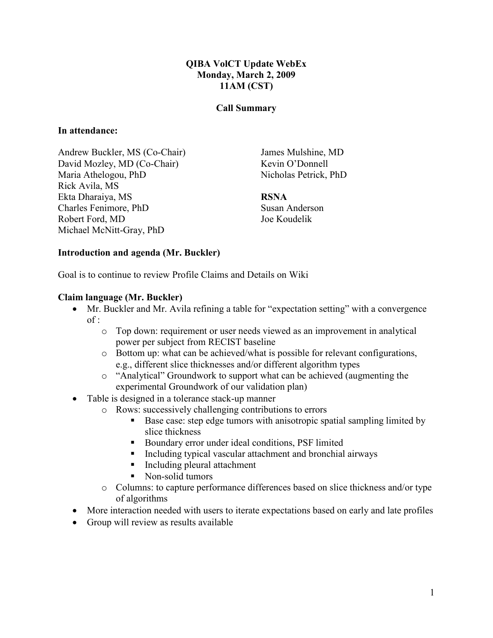### QIBA VolCT Update WebEx Monday, March 2, 2009 11AM (CST)

#### Call Summary

#### In attendance:

Andrew Buckler, MS (Co-Chair) David Mozley, MD (Co-Chair) Maria Athelogou, PhD Rick Avila, MS Ekta Dharaiya, MS Charles Fenimore, PhD Robert Ford, MD Michael McNitt-Gray, PhD

James Mulshine, MD Kevin O'Donnell Nicholas Petrick, PhD

#### RSNA

Susan Anderson Joe Koudelik

### Introduction and agenda (Mr. Buckler)

Goal is to continue to review Profile Claims and Details on Wiki

#### Claim language (Mr. Buckler)

- Mr. Buckler and Mr. Avila refining a table for "expectation setting" with a convergence  $of:$ 
	- o Top down: requirement or user needs viewed as an improvement in analytical power per subject from RECIST baseline
	- o Bottom up: what can be achieved/what is possible for relevant configurations, e.g., different slice thicknesses and/or different algorithm types
	- o "Analytical" Groundwork to support what can be achieved (augmenting the experimental Groundwork of our validation plan)
- Table is designed in a tolerance stack-up manner
	- o Rows: successively challenging contributions to errors
		- Base case: step edge tumors with anisotropic spatial sampling limited by slice thickness
		- Boundary error under ideal conditions, PSF limited
		- Including typical vascular attachment and bronchial airways
		- Including pleural attachment
		- Non-solid tumors
	- o Columns: to capture performance differences based on slice thickness and/or type of algorithms
- More interaction needed with users to iterate expectations based on early and late profiles
- Group will review as results available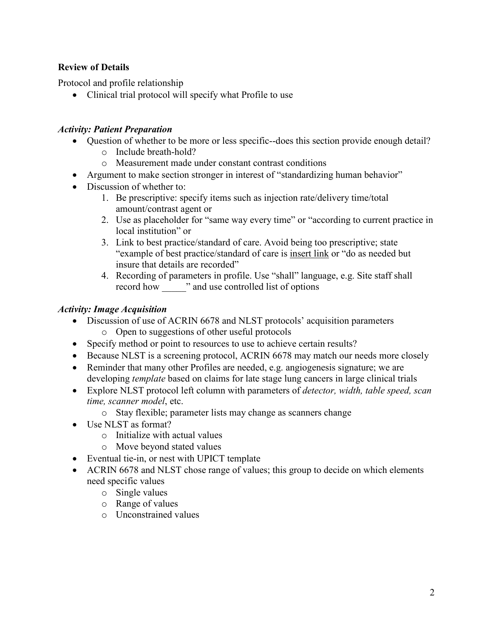# Review of Details

Protocol and profile relationship

• Clinical trial protocol will specify what Profile to use

## Activity: Patient Preparation

- Question of whether to be more or less specific--does this section provide enough detail?
	- o Include breath-hold?
	- o Measurement made under constant contrast conditions
- Argument to make section stronger in interest of "standardizing human behavior"
- Discussion of whether to:
	- 1. Be prescriptive: specify items such as injection rate/delivery time/total amount/contrast agent or
	- 2. Use as placeholder for "same way every time" or "according to current practice in local institution" or
	- 3. Link to best practice/standard of care. Avoid being too prescriptive; state "example of best practice/standard of care is insert link or "do as needed but insure that details are recorded"
	- 4. Recording of parameters in profile. Use "shall" language, e.g. Site staff shall record how \_\_\_\_\_" and use controlled list of options

### Activity: Image Acquisition

- Discussion of use of ACRIN 6678 and NLST protocols' acquisition parameters o Open to suggestions of other useful protocols
- Specify method or point to resources to use to achieve certain results?
- Because NLST is a screening protocol, ACRIN 6678 may match our needs more closely
- Reminder that many other Profiles are needed, e.g. angiogenesis signature; we are developing *template* based on claims for late stage lung cancers in large clinical trials
- Explore NLST protocol left column with parameters of *detector*, width, table speed, scan time, scanner model, etc.
	- o Stay flexible; parameter lists may change as scanners change
- Use NLST as format?
	- o Initialize with actual values
	- o Move beyond stated values
- Eventual tie-in, or nest with UPICT template
- ACRIN 6678 and NLST chose range of values; this group to decide on which elements need specific values
	- o Single values
	- o Range of values
	- o Unconstrained values